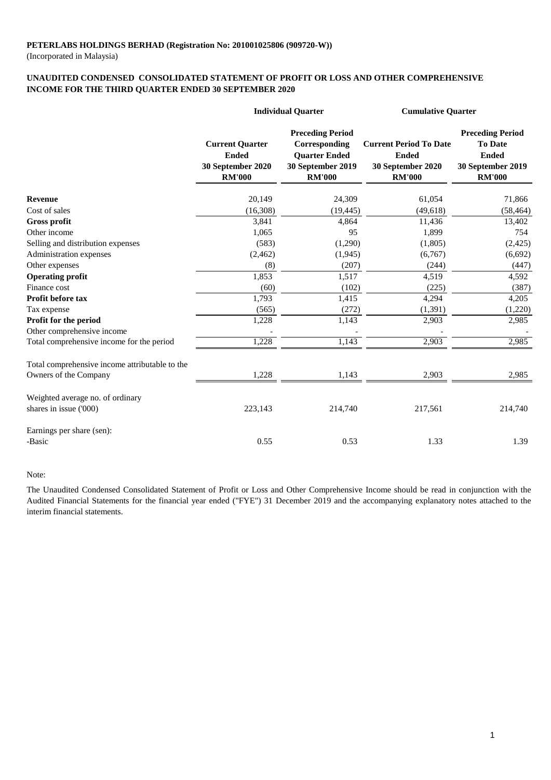(Incorporated in Malaysia)

### **UNAUDITED CONDENSED CONSOLIDATED STATEMENT OF PROFIT OR LOSS AND OTHER COMPREHENSIVE INCOME FOR THE THIRD QUARTER ENDED 30 SEPTEMBER 2020**

|                                                |                                                                              | <b>Individual Quarter</b>                                                                              | <b>Cumulative Quarter</b>                                                           |                                                                                                 |  |
|------------------------------------------------|------------------------------------------------------------------------------|--------------------------------------------------------------------------------------------------------|-------------------------------------------------------------------------------------|-------------------------------------------------------------------------------------------------|--|
|                                                | <b>Current Quarter</b><br><b>Ended</b><br>30 September 2020<br><b>RM'000</b> | <b>Preceding Period</b><br>Corresponding<br><b>Quarter Ended</b><br>30 September 2019<br><b>RM'000</b> | <b>Current Period To Date</b><br><b>Ended</b><br>30 September 2020<br><b>RM'000</b> | <b>Preceding Period</b><br><b>To Date</b><br><b>Ended</b><br>30 September 2019<br><b>RM'000</b> |  |
| <b>Revenue</b>                                 | 20,149                                                                       | 24,309                                                                                                 | 61,054                                                                              | 71,866                                                                                          |  |
| Cost of sales                                  | (16, 308)                                                                    | (19, 445)                                                                                              | (49,618)                                                                            | (58, 464)                                                                                       |  |
| <b>Gross profit</b>                            | 3,841                                                                        | 4,864                                                                                                  | 11,436                                                                              | 13,402                                                                                          |  |
| Other income                                   | 1,065                                                                        | 95                                                                                                     | 1,899                                                                               | 754                                                                                             |  |
| Selling and distribution expenses              | (583)                                                                        | (1,290)                                                                                                | (1,805)                                                                             | (2, 425)                                                                                        |  |
| Administration expenses                        | (2, 462)                                                                     | (1,945)                                                                                                | (6,767)                                                                             | (6,692)                                                                                         |  |
| Other expenses                                 | (8)                                                                          | (207)                                                                                                  | (244)                                                                               | (447)                                                                                           |  |
| <b>Operating profit</b>                        | 1,853                                                                        | 1,517                                                                                                  | 4,519                                                                               | 4,592                                                                                           |  |
| Finance cost                                   | (60)                                                                         | (102)                                                                                                  | (225)                                                                               | (387)                                                                                           |  |
| <b>Profit before tax</b>                       | 1,793                                                                        | 1,415                                                                                                  | 4,294                                                                               | 4,205                                                                                           |  |
| Tax expense                                    | (565)                                                                        | (272)                                                                                                  | (1, 391)                                                                            | (1,220)                                                                                         |  |
| Profit for the period                          | 1,228                                                                        | 1,143                                                                                                  | 2,903                                                                               | 2,985                                                                                           |  |
| Other comprehensive income                     |                                                                              |                                                                                                        |                                                                                     |                                                                                                 |  |
| Total comprehensive income for the period      | 1,228                                                                        | 1,143                                                                                                  | 2,903                                                                               | 2,985                                                                                           |  |
| Total comprehensive income attributable to the |                                                                              |                                                                                                        |                                                                                     |                                                                                                 |  |
| Owners of the Company                          | 1,228                                                                        | 1,143                                                                                                  | 2,903                                                                               | 2,985                                                                                           |  |
| Weighted average no. of ordinary               |                                                                              |                                                                                                        |                                                                                     |                                                                                                 |  |
| shares in issue ('000)                         | 223,143                                                                      | 214,740                                                                                                | 217,561                                                                             | 214,740                                                                                         |  |
| Earnings per share (sen):                      |                                                                              |                                                                                                        |                                                                                     |                                                                                                 |  |
| -Basic                                         | 0.55                                                                         | 0.53                                                                                                   | 1.33                                                                                | 1.39                                                                                            |  |

Note:

The Unaudited Condensed Consolidated Statement of Profit or Loss and Other Comprehensive Income should be read in conjunction with the Audited Financial Statements for the financial year ended ("FYE") 31 December 2019 and the accompanying explanatory notes attached to the interim financial statements.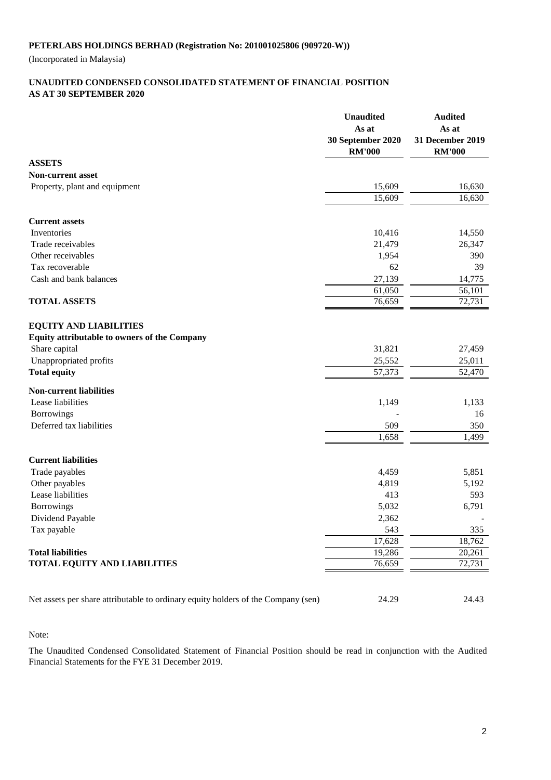(Incorporated in Malaysia)

#### **AS AT 30 SEPTEMBER 2020 UNAUDITED CONDENSED CONSOLIDATED STATEMENT OF FINANCIAL POSITION**

|                                                                                   | <b>Unaudited</b><br>As at          | <b>Audited</b><br>As at           |
|-----------------------------------------------------------------------------------|------------------------------------|-----------------------------------|
|                                                                                   | 30 September 2020<br><b>RM'000</b> | 31 December 2019<br><b>RM'000</b> |
| <b>ASSETS</b>                                                                     |                                    |                                   |
| <b>Non-current asset</b>                                                          |                                    |                                   |
| Property, plant and equipment                                                     | 15,609                             | 16,630                            |
|                                                                                   | 15,609                             | 16,630                            |
| <b>Current assets</b>                                                             |                                    |                                   |
| Inventories                                                                       | 10,416                             | 14,550                            |
| Trade receivables                                                                 | 21,479                             | 26,347                            |
| Other receivables                                                                 | 1,954                              | 390                               |
| Tax recoverable                                                                   | 62                                 | 39                                |
| Cash and bank balances                                                            | 27,139                             | 14,775                            |
|                                                                                   | 61,050                             | 56,101                            |
| <b>TOTAL ASSETS</b>                                                               | 76,659                             | 72,731                            |
| <b>EQUITY AND LIABILITIES</b>                                                     |                                    |                                   |
| <b>Equity attributable to owners of the Company</b>                               |                                    |                                   |
| Share capital                                                                     | 31,821                             | 27,459                            |
| Unappropriated profits                                                            | 25,552                             | 25,011                            |
| <b>Total equity</b>                                                               | 57,373                             | 52,470                            |
| <b>Non-current liabilities</b>                                                    |                                    |                                   |
| Lease liabilities                                                                 | 1,149                              | 1,133                             |
| Borrowings                                                                        |                                    | 16                                |
| Deferred tax liabilities                                                          | 509                                | 350                               |
|                                                                                   | 1,658                              | 1,499                             |
| <b>Current liabilities</b>                                                        |                                    |                                   |
| Trade payables                                                                    | 4,459                              | 5,851                             |
| Other payables                                                                    | 4,819                              | 5,192                             |
| Lease liabilities                                                                 | 413                                | 593                               |
| Borrowings                                                                        | 5,032                              | 6,791                             |
| Dividend Payable                                                                  | 2,362                              |                                   |
| Tax payable                                                                       | 543                                | 335                               |
|                                                                                   | 17,628                             | 18,762                            |
| <b>Total liabilities</b>                                                          | 19,286                             | 20,261                            |
| <b>TOTAL EQUITY AND LIABILITIES</b>                                               | 76,659                             | 72,731                            |
| Net assets per share attributable to ordinary equity holders of the Company (sen) | 24.29                              | 24.43                             |
|                                                                                   |                                    |                                   |

#### Note:

The Unaudited Condensed Consolidated Statement of Financial Position should be read in conjunction with the Audited Financial Statements for the FYE 31 December 2019.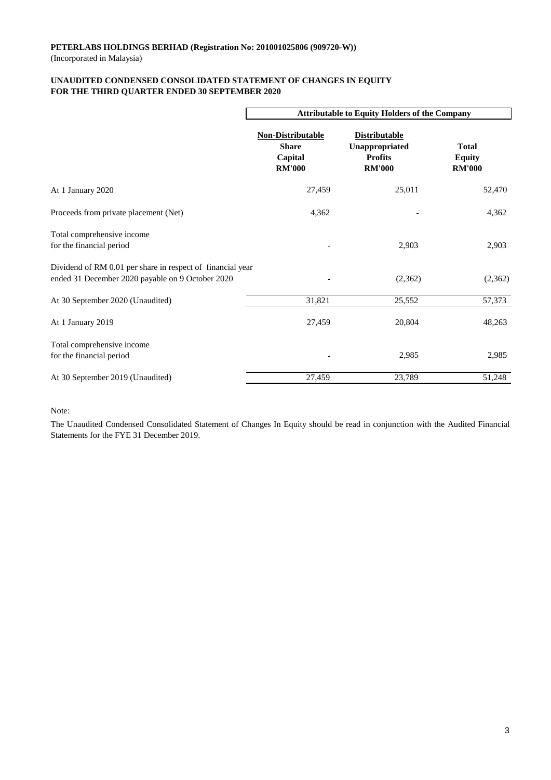(Incorporated in Malaysia)

# **UNAUDITED CONDENSED CONSOLIDATED STATEMENT OF CHANGES IN EQUITY FOR THE THIRD QUARTER ENDED 30 SEPTEMBER 2020**

|                                                                                                                | <b>Attributable to Equity Holders of the Company</b>                 |                                                                           |                                                |  |  |
|----------------------------------------------------------------------------------------------------------------|----------------------------------------------------------------------|---------------------------------------------------------------------------|------------------------------------------------|--|--|
|                                                                                                                | <b>Non-Distributable</b><br><b>Share</b><br>Capital<br><b>RM'000</b> | <b>Distributable</b><br>Unappropriated<br><b>Profits</b><br><b>RM'000</b> | <b>Total</b><br><b>Equity</b><br><b>RM'000</b> |  |  |
| At 1 January 2020                                                                                              | 27,459                                                               | 25,011                                                                    | 52,470                                         |  |  |
| Proceeds from private placement (Net)                                                                          | 4,362                                                                |                                                                           | 4,362                                          |  |  |
| Total comprehensive income<br>for the financial period                                                         |                                                                      | 2,903                                                                     | 2,903                                          |  |  |
| Dividend of RM 0.01 per share in respect of financial year<br>ended 31 December 2020 payable on 9 October 2020 |                                                                      | (2,362)                                                                   | (2,362)                                        |  |  |
| At 30 September 2020 (Unaudited)                                                                               | 31,821                                                               | 25,552                                                                    | 57,373                                         |  |  |
| At 1 January 2019                                                                                              | 27,459                                                               | 20,804                                                                    | 48,263                                         |  |  |
| Total comprehensive income<br>for the financial period                                                         |                                                                      | 2,985                                                                     | 2,985                                          |  |  |
| At 30 September 2019 (Unaudited)                                                                               | 27,459                                                               | 23,789                                                                    | 51,248                                         |  |  |

Note:

The Unaudited Condensed Consolidated Statement of Changes In Equity should be read in conjunction with the Audited Financial Statements for the FYE 31 December 2019.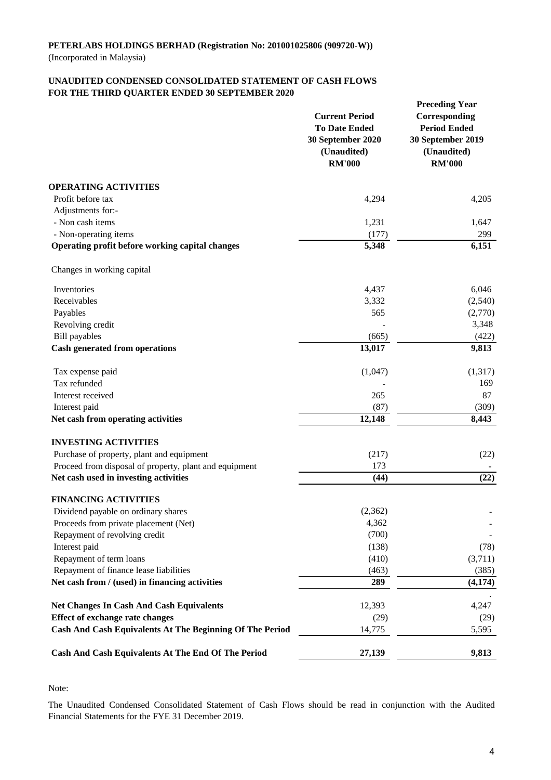### **UNAUDITED CONDENSED CONSOLIDATED STATEMENT OF CASH FLOWS FOR THE THIRD QUARTER ENDED 30 SEPTEMBER 2020**

|                                                          | <b>Current Period</b><br><b>To Date Ended</b><br>30 September 2020<br>(Unaudited)<br><b>RM'000</b> | <b>Preceding Year</b><br>Corresponding<br><b>Period Ended</b><br>30 September 2019<br>(Unaudited)<br><b>RM'000</b> |  |
|----------------------------------------------------------|----------------------------------------------------------------------------------------------------|--------------------------------------------------------------------------------------------------------------------|--|
| <b>OPERATING ACTIVITIES</b>                              |                                                                                                    |                                                                                                                    |  |
| Profit before tax                                        | 4,294                                                                                              | 4,205                                                                                                              |  |
| Adjustments for:-                                        |                                                                                                    |                                                                                                                    |  |
| - Non cash items                                         | 1,231                                                                                              | 1,647                                                                                                              |  |
| - Non-operating items                                    | (177)                                                                                              | 299                                                                                                                |  |
| Operating profit before working capital changes          | 5,348                                                                                              | 6,151                                                                                                              |  |
| Changes in working capital                               |                                                                                                    |                                                                                                                    |  |
| Inventories                                              | 4,437                                                                                              | 6,046                                                                                                              |  |
| Receivables                                              | 3,332                                                                                              | (2,540)                                                                                                            |  |
| Payables                                                 | 565                                                                                                | (2,770)                                                                                                            |  |
| Revolving credit                                         |                                                                                                    | 3,348                                                                                                              |  |
| <b>Bill payables</b>                                     | (665)                                                                                              | (422)                                                                                                              |  |
| <b>Cash generated from operations</b>                    | 13,017                                                                                             | 9,813                                                                                                              |  |
| Tax expense paid                                         | (1,047)                                                                                            | (1,317)                                                                                                            |  |
| Tax refunded                                             |                                                                                                    | 169                                                                                                                |  |
| Interest received                                        | 265                                                                                                | 87                                                                                                                 |  |
| Interest paid                                            | (87)                                                                                               | (309)                                                                                                              |  |
| Net cash from operating activities                       | 12,148                                                                                             | 8,443                                                                                                              |  |
| <b>INVESTING ACTIVITIES</b>                              |                                                                                                    |                                                                                                                    |  |
| Purchase of property, plant and equipment                | (217)                                                                                              | (22)                                                                                                               |  |
| Proceed from disposal of property, plant and equipment   | 173                                                                                                |                                                                                                                    |  |
| Net cash used in investing activities                    | (44)                                                                                               | (22)                                                                                                               |  |
| <b>FINANCING ACTIVITIES</b>                              |                                                                                                    |                                                                                                                    |  |
| Dividend payable on ordinary shares                      | (2,362)                                                                                            |                                                                                                                    |  |
| Proceeds from private placement (Net)                    | 4,362                                                                                              |                                                                                                                    |  |
| Repayment of revolving credit                            | (700)                                                                                              |                                                                                                                    |  |
| Interest paid                                            | (138)                                                                                              | (78)                                                                                                               |  |
| Repayment of term loans                                  | (410)                                                                                              | (3,711)                                                                                                            |  |
| Repayment of finance lease liabilities                   | (463)                                                                                              | (385)                                                                                                              |  |
| Net cash from / (used) in financing activities           | 289                                                                                                | (4, 174)                                                                                                           |  |
| <b>Net Changes In Cash And Cash Equivalents</b>          | 12,393                                                                                             | 4,247                                                                                                              |  |
| <b>Effect of exchange rate changes</b>                   | (29)                                                                                               | (29)                                                                                                               |  |
| Cash And Cash Equivalents At The Beginning Of The Period | 14,775                                                                                             | 5,595                                                                                                              |  |
| Cash And Cash Equivalents At The End Of The Period       | 27,139                                                                                             | 9,813                                                                                                              |  |

Note:

The Unaudited Condensed Consolidated Statement of Cash Flows should be read in conjunction with the Audited Financial Statements for the FYE 31 December 2019.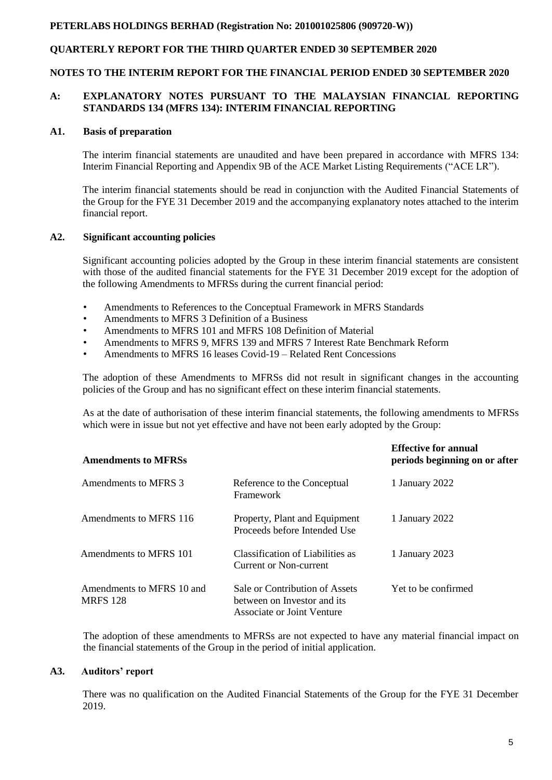## **QUARTERLY REPORT FOR THE THIRD QUARTER ENDED 30 SEPTEMBER 2020**

#### **NOTES TO THE INTERIM REPORT FOR THE FINANCIAL PERIOD ENDED 30 SEPTEMBER 2020**

### **A: EXPLANATORY NOTES PURSUANT TO THE MALAYSIAN FINANCIAL REPORTING STANDARDS 134 (MFRS 134): INTERIM FINANCIAL REPORTING**

#### **A1. Basis of preparation**

The interim financial statements are unaudited and have been prepared in accordance with MFRS 134: Interim Financial Reporting and Appendix 9B of the ACE Market Listing Requirements ("ACE LR").

The interim financial statements should be read in conjunction with the Audited Financial Statements of the Group for the FYE 31 December 2019 and the accompanying explanatory notes attached to the interim financial report.

#### **A2. Significant accounting policies**

Significant accounting policies adopted by the Group in these interim financial statements are consistent with those of the audited financial statements for the FYE 31 December 2019 except for the adoption of the following Amendments to MFRSs during the current financial period:

- Amendments to References to the Conceptual Framework in MFRS Standards
- Amendments to MFRS 3 Definition of a Business
- Amendments to MFRS 101 and MFRS 108 Definition of Material
- Amendments to MFRS 9, MFRS 139 and MFRS 7 Interest Rate Benchmark Reform
- Amendments to MFRS 16 leases Covid-19 Related Rent Concessions

The adoption of these Amendments to MFRSs did not result in significant changes in the accounting policies of the Group and has no significant effect on these interim financial statements.

As at the date of authorisation of these interim financial statements, the following amendments to MFRSs which were in issue but not yet effective and have not been early adopted by the Group:

| <b>Amendments to MFRSs</b>                   |                                                                                             | <b>Effective for annual</b><br>periods beginning on or after |
|----------------------------------------------|---------------------------------------------------------------------------------------------|--------------------------------------------------------------|
| Amendments to MFRS 3                         | Reference to the Conceptual<br>Framework                                                    | 1 January 2022                                               |
| Amendments to MFRS 116                       | Property, Plant and Equipment<br>Proceeds before Intended Use                               | 1 January 2022                                               |
| Amendments to MFRS 101                       | Classification of Liabilities as<br>Current or Non-current                                  | 1 January 2023                                               |
| Amendments to MFRS 10 and<br><b>MRFS</b> 128 | Sale or Contribution of Assets<br>between on Investor and its<br>Associate or Joint Venture | Yet to be confirmed                                          |

The adoption of these amendments to MFRSs are not expected to have any material financial impact on the financial statements of the Group in the period of initial application.

### **A3. Auditors' report**

There was no qualification on the Audited Financial Statements of the Group for the FYE 31 December 2019.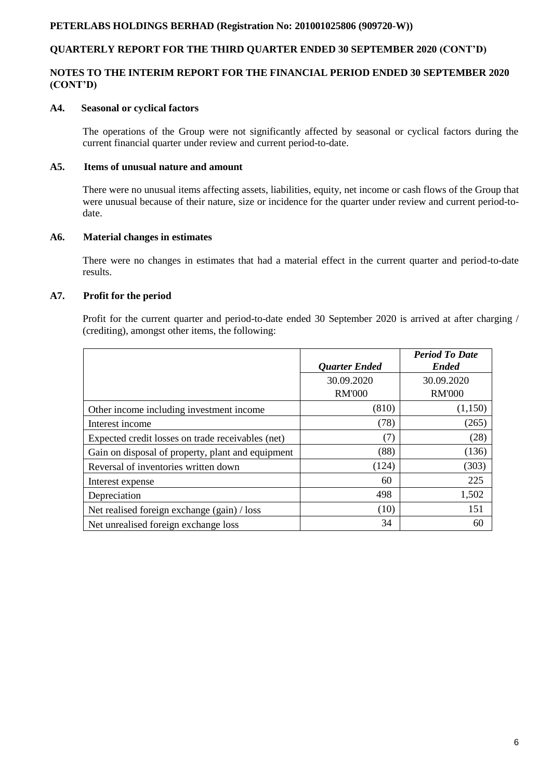# **QUARTERLY REPORT FOR THE THIRD QUARTER ENDED 30 SEPTEMBER 2020 (CONT'D)**

# **NOTES TO THE INTERIM REPORT FOR THE FINANCIAL PERIOD ENDED 30 SEPTEMBER 2020 (CONT'D)**

### **A4. Seasonal or cyclical factors**

The operations of the Group were not significantly affected by seasonal or cyclical factors during the current financial quarter under review and current period-to-date.

#### **A5. Items of unusual nature and amount**

There were no unusual items affecting assets, liabilities, equity, net income or cash flows of the Group that were unusual because of their nature, size or incidence for the quarter under review and current period-todate.

### **A6. Material changes in estimates**

There were no changes in estimates that had a material effect in the current quarter and period-to-date results.

### **A7. Profit for the period**

Profit for the current quarter and period-to-date ended 30 September 2020 is arrived at after charging / (crediting), amongst other items, the following:

|                                                   | <b>Quarter Ended</b> | <b>Period To Date</b><br><b>Ended</b> |
|---------------------------------------------------|----------------------|---------------------------------------|
|                                                   | 30.09.2020           | 30.09.2020                            |
|                                                   | <b>RM'000</b>        | <b>RM'000</b>                         |
| Other income including investment income          | (810)                | (1,150)                               |
| Interest income                                   | (78)                 | (265)                                 |
| Expected credit losses on trade receivables (net) | (7)                  | (28)                                  |
| Gain on disposal of property, plant and equipment | (88)                 | (136)                                 |
| Reversal of inventories written down              | (124)                | (303)                                 |
| Interest expense                                  | 60                   | 225                                   |
| Depreciation                                      | 498                  | 1,502                                 |
| Net realised foreign exchange (gain) / loss       | (10)                 | 151                                   |
| Net unrealised foreign exchange loss              | 34                   | 60                                    |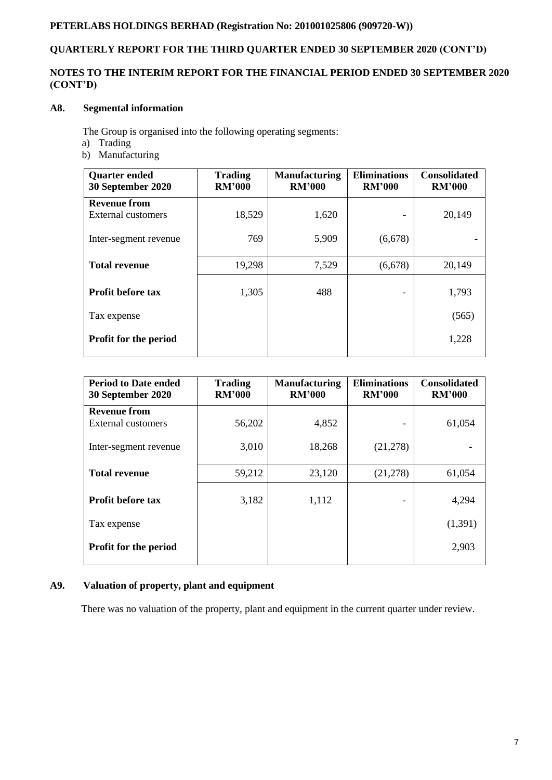# **QUARTERLY REPORT FOR THE THIRD QUARTER ENDED 30 SEPTEMBER 2020 (CONT'D)**

# **NOTES TO THE INTERIM REPORT FOR THE FINANCIAL PERIOD ENDED 30 SEPTEMBER 2020 (CONT'D)**

# **A8. Segmental information**

The Group is organised into the following operating segments:

- a) Trading
- b) Manufacturing

| <b>Quarter ended</b><br>30 September 2020 | <b>Trading</b><br><b>RM'000</b> | <b>Manufacturing</b><br><b>RM'000</b> | <b>Eliminations</b><br><b>RM'000</b> | <b>Consolidated</b><br><b>RM'000</b> |
|-------------------------------------------|---------------------------------|---------------------------------------|--------------------------------------|--------------------------------------|
| <b>Revenue from</b>                       |                                 |                                       |                                      |                                      |
| <b>External customers</b>                 | 18,529                          | 1,620                                 |                                      | 20,149                               |
| Inter-segment revenue                     | 769                             | 5,909                                 | (6,678)                              |                                      |
| <b>Total revenue</b>                      | 19,298                          | 7,529                                 | (6,678)                              | 20,149                               |
| <b>Profit before tax</b>                  | 1,305                           | 488                                   | -                                    | 1,793                                |
| Tax expense                               |                                 |                                       |                                      | (565)                                |
| <b>Profit for the period</b>              |                                 |                                       |                                      | 1,228                                |

| <b>Period to Date ended</b><br>30 September 2020 | <b>Trading</b><br><b>RM'000</b> | <b>Manufacturing</b><br><b>RM'000</b> | <b>Eliminations</b><br><b>RM'000</b> | <b>Consolidated</b><br><b>RM'000</b> |
|--------------------------------------------------|---------------------------------|---------------------------------------|--------------------------------------|--------------------------------------|
| <b>Revenue from</b>                              |                                 |                                       |                                      |                                      |
| External customers                               | 56,202                          | 4,852                                 |                                      | 61,054                               |
| Inter-segment revenue                            | 3,010                           | 18,268                                | (21, 278)                            |                                      |
| <b>Total revenue</b>                             | 59,212                          | 23,120                                | (21,278)                             | 61,054                               |
| <b>Profit before tax</b>                         | 3,182                           | 1,112                                 |                                      | 4,294                                |
| Tax expense                                      |                                 |                                       |                                      | (1,391)                              |
| <b>Profit for the period</b>                     |                                 |                                       |                                      | 2,903                                |

# **A9. Valuation of property, plant and equipment**

There was no valuation of the property, plant and equipment in the current quarter under review.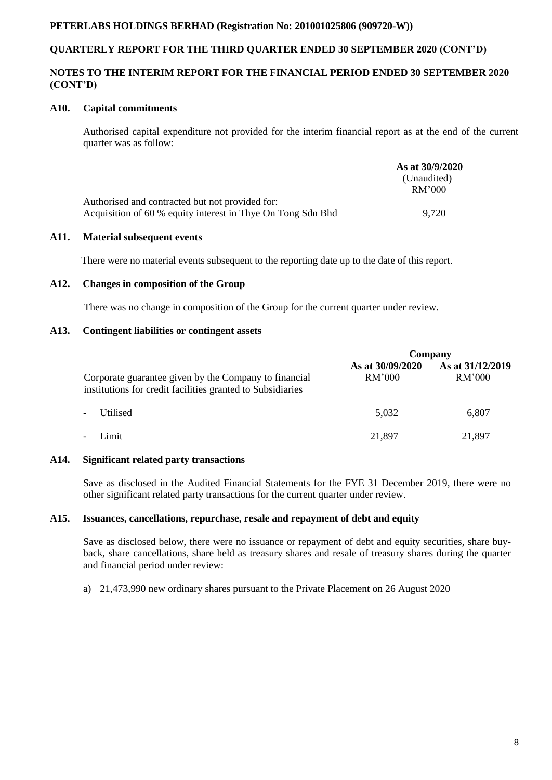# **QUARTERLY REPORT FOR THE THIRD QUARTER ENDED 30 SEPTEMBER 2020 (CONT'D)**

### **NOTES TO THE INTERIM REPORT FOR THE FINANCIAL PERIOD ENDED 30 SEPTEMBER 2020 (CONT'D)**

### **A10. Capital commitments**

Authorised capital expenditure not provided for the interim financial report as at the end of the current quarter was as follow:

|                                                             | As at 30/9/2020       |
|-------------------------------------------------------------|-----------------------|
|                                                             | (Unaudited)<br>RM'000 |
| Authorised and contracted but not provided for:             |                       |
| Acquisition of 60 % equity interest in Thye On Tong Sdn Bhd | 9.720                 |

### **A11. Material subsequent events**

There were no material events subsequent to the reporting date up to the date of this report.

#### **A12. Changes in composition of the Group**

There was no change in composition of the Group for the current quarter under review.

# **A13. Contingent liabilities or contingent assets**

|                                                                                                                     | Company                    |                                   |  |
|---------------------------------------------------------------------------------------------------------------------|----------------------------|-----------------------------------|--|
| Corporate guarantee given by the Company to financial<br>institutions for credit facilities granted to Subsidiaries | As at 30/09/2020<br>RM'000 | As at 31/12/2019<br><b>RM'000</b> |  |
| Utilised<br>$\overline{\phantom{a}}$                                                                                | 5,032                      | 6.807                             |  |
| Limit<br>$\overline{\phantom{a}}$                                                                                   | 21,897                     | 21,897                            |  |

### **A14. Significant related party transactions**

Save as disclosed in the Audited Financial Statements for the FYE 31 December 2019, there were no other significant related party transactions for the current quarter under review.

### **A15. Issuances, cancellations, repurchase, resale and repayment of debt and equity**

Save as disclosed below, there were no issuance or repayment of debt and equity securities, share buyback, share cancellations, share held as treasury shares and resale of treasury shares during the quarter and financial period under review:

a) 21,473,990 new ordinary shares pursuant to the Private Placement on 26 August 2020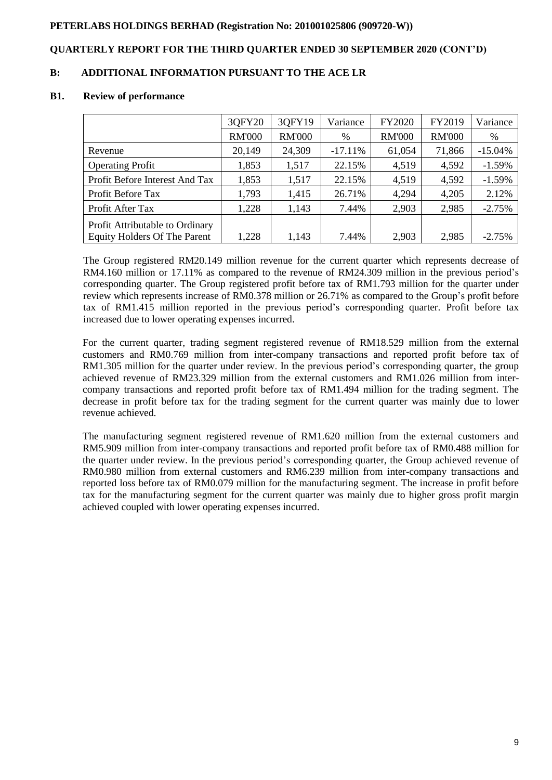# **QUARTERLY REPORT FOR THE THIRD QUARTER ENDED 30 SEPTEMBER 2020 (CONT'D)**

# **B: ADDITIONAL INFORMATION PURSUANT TO THE ACE LR**

#### **B1. Review of performance**

|                                     | 3QFY20        | 30FY19        | Variance  | <b>FY2020</b> | FY2019        | Variance  |
|-------------------------------------|---------------|---------------|-----------|---------------|---------------|-----------|
|                                     | <b>RM'000</b> | <b>RM'000</b> | %         | <b>RM'000</b> | <b>RM'000</b> | %         |
| Revenue                             | 20,149        | 24,309        | $-17.11%$ | 61,054        | 71,866        | $-15.04%$ |
| <b>Operating Profit</b>             | 1,853         | 1,517         | 22.15%    | 4,519         | 4,592         | $-1.59%$  |
| Profit Before Interest And Tax      | 1,853         | 1,517         | 22.15%    | 4,519         | 4,592         | $-1.59%$  |
| Profit Before Tax                   | 1,793         | 1,415         | 26.71%    | 4,294         | 4,205         | 2.12%     |
| Profit After Tax                    | 1,228         | 1,143         | 7.44%     | 2,903         | 2,985         | $-2.75%$  |
| Profit Attributable to Ordinary     |               |               |           |               |               |           |
| <b>Equity Holders Of The Parent</b> | 1,228         | 1,143         | 7.44%     | 2,903         | 2,985         | $-2.75%$  |

The Group registered RM20.149 million revenue for the current quarter which represents decrease of RM4.160 million or 17.11% as compared to the revenue of RM24.309 million in the previous period's corresponding quarter. The Group registered profit before tax of RM1.793 million for the quarter under review which represents increase of RM0.378 million or 26.71% as compared to the Group's profit before tax of RM1.415 million reported in the previous period's corresponding quarter. Profit before tax increased due to lower operating expenses incurred.

For the current quarter, trading segment registered revenue of RM18.529 million from the external customers and RM0.769 million from inter-company transactions and reported profit before tax of RM1.305 million for the quarter under review. In the previous period's corresponding quarter, the group achieved revenue of RM23.329 million from the external customers and RM1.026 million from intercompany transactions and reported profit before tax of RM1.494 million for the trading segment. The decrease in profit before tax for the trading segment for the current quarter was mainly due to lower revenue achieved.

The manufacturing segment registered revenue of RM1.620 million from the external customers and RM5.909 million from inter-company transactions and reported profit before tax of RM0.488 million for the quarter under review. In the previous period's corresponding quarter, the Group achieved revenue of RM0.980 million from external customers and RM6.239 million from inter-company transactions and reported loss before tax of RM0.079 million for the manufacturing segment. The increase in profit before tax for the manufacturing segment for the current quarter was mainly due to higher gross profit margin achieved coupled with lower operating expenses incurred.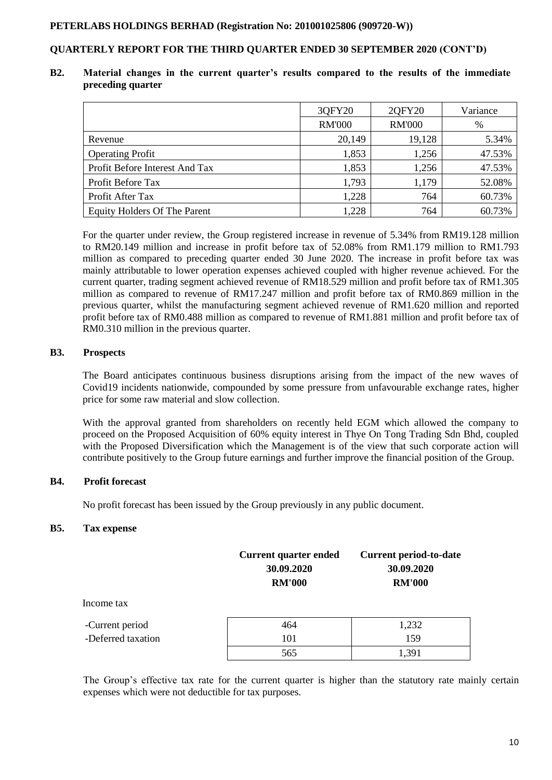# **QUARTERLY REPORT FOR THE THIRD QUARTER ENDED 30 SEPTEMBER 2020 (CONT'D)**

### **B2. Material changes in the current quarter's results compared to the results of the immediate preceding quarter**

|                                     | 3QFY20        | 2QFY20        | Variance |
|-------------------------------------|---------------|---------------|----------|
|                                     | <b>RM'000</b> | <b>RM'000</b> | %        |
| Revenue                             | 20,149        | 19,128        | 5.34%    |
| <b>Operating Profit</b>             | 1,853         | 1,256         | 47.53%   |
| Profit Before Interest And Tax      | 1,853         | 1,256         | 47.53%   |
| Profit Before Tax                   | 1,793         | 1,179         | 52.08%   |
| Profit After Tax                    | 1,228         | 764           | 60.73%   |
| <b>Equity Holders Of The Parent</b> | 1,228         | 764           | 60.73%   |

For the quarter under review, the Group registered increase in revenue of 5.34% from RM19.128 million to RM20.149 million and increase in profit before tax of 52.08% from RM1.179 million to RM1.793 million as compared to preceding quarter ended 30 June 2020. The increase in profit before tax was mainly attributable to lower operation expenses achieved coupled with higher revenue achieved. For the current quarter, trading segment achieved revenue of RM18.529 million and profit before tax of RM1.305 million as compared to revenue of RM17.247 million and profit before tax of RM0.869 million in the previous quarter, whilst the manufacturing segment achieved revenue of RM1.620 million and reported profit before tax of RM0.488 million as compared to revenue of RM1.881 million and profit before tax of RM0.310 million in the previous quarter.

# **B3. Prospects**

The Board anticipates continuous business disruptions arising from the impact of the new waves of Covid19 incidents nationwide, compounded by some pressure from unfavourable exchange rates, higher price for some raw material and slow collection.

With the approval granted from shareholders on recently held EGM which allowed the company to proceed on the Proposed Acquisition of 60% equity interest in Thye On Tong Trading Sdn Bhd, coupled with the Proposed Diversification which the Management is of the view that such corporate action will contribute positively to the Group future earnings and further improve the financial position of the Group.

# **B4. Profit forecast**

No profit forecast has been issued by the Group previously in any public document.

### **B5. Tax expense**

|                    | <b>Current quarter ended</b><br>30.09.2020<br><b>RM'000</b> | <b>Current period-to-date</b><br>30.09.2020<br><b>RM'000</b> |  |  |
|--------------------|-------------------------------------------------------------|--------------------------------------------------------------|--|--|
| Income tax         |                                                             |                                                              |  |  |
| -Current period    | 464                                                         | 1,232                                                        |  |  |
| -Deferred taxation | 101                                                         | 159                                                          |  |  |
|                    | 565                                                         | 1,391                                                        |  |  |

The Group's effective tax rate for the current quarter is higher than the statutory rate mainly certain expenses which were not deductible for tax purposes.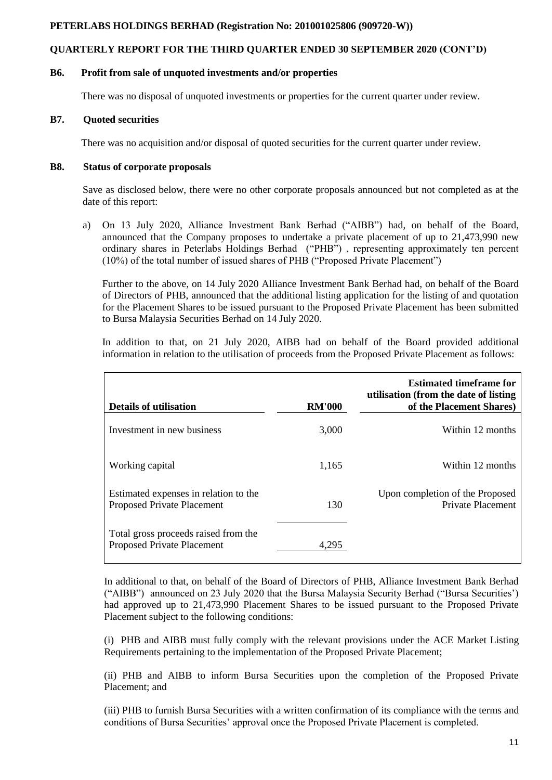# **QUARTERLY REPORT FOR THE THIRD QUARTER ENDED 30 SEPTEMBER 2020 (CONT'D)**

### **B6. Profit from sale of unquoted investments and/or properties**

There was no disposal of unquoted investments or properties for the current quarter under review.

## **B7. Quoted securities**

There was no acquisition and/or disposal of quoted securities for the current quarter under review.

## **B8. Status of corporate proposals**

Save as disclosed below, there were no other corporate proposals announced but not completed as at the date of this report:

a) On 13 July 2020, Alliance Investment Bank Berhad ("AIBB") had, on behalf of the Board, announced that the Company proposes to undertake a private placement of up to 21,473,990 new ordinary shares in Peterlabs Holdings Berhad ("PHB") , representing approximately ten percent (10%) of the total number of issued shares of PHB ("Proposed Private Placement")

Further to the above, on 14 July 2020 Alliance Investment Bank Berhad had, on behalf of the Board of Directors of PHB, announced that the additional listing application for the listing of and quotation for the Placement Shares to be issued pursuant to the Proposed Private Placement has been submitted to Bursa Malaysia Securities Berhad on 14 July 2020.

In addition to that, on 21 July 2020, AIBB had on behalf of the Board provided additional information in relation to the utilisation of proceeds from the Proposed Private Placement as follows:

| Details of utilisation                                              | <b>RM'000</b> | <b>Estimated timeframe for</b><br>utilisation (from the date of listing<br>of the Placement Shares) |
|---------------------------------------------------------------------|---------------|-----------------------------------------------------------------------------------------------------|
| Investment in new business                                          | 3,000         | Within 12 months                                                                                    |
| Working capital                                                     | 1,165         | Within 12 months                                                                                    |
| Estimated expenses in relation to the<br>Proposed Private Placement | 130           | Upon completion of the Proposed<br>Private Placement                                                |
| Total gross proceeds raised from the<br>Proposed Private Placement  | 4.295         |                                                                                                     |

In additional to that, on behalf of the Board of Directors of PHB, Alliance Investment Bank Berhad ("AIBB") announced on 23 July 2020 that the Bursa Malaysia Security Berhad ("Bursa Securities') had approved up to 21,473,990 Placement Shares to be issued pursuant to the Proposed Private Placement subject to the following conditions:

(i) PHB and AIBB must fully comply with the relevant provisions under the ACE Market Listing Requirements pertaining to the implementation of the Proposed Private Placement;

(ii) PHB and AIBB to inform Bursa Securities upon the completion of the Proposed Private Placement; and

(iii) PHB to furnish Bursa Securities with a written confirmation of its compliance with the terms and conditions of Bursa Securities' approval once the Proposed Private Placement is completed.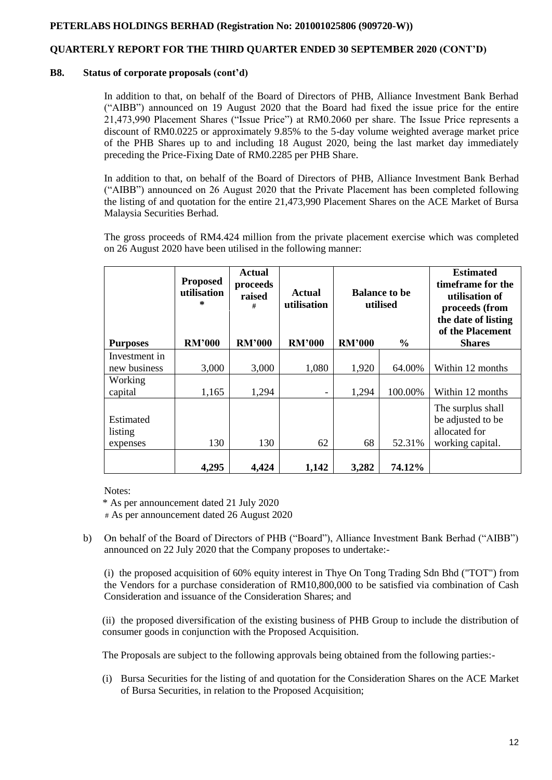# **QUARTERLY REPORT FOR THE THIRD QUARTER ENDED 30 SEPTEMBER 2020 (CONT'D)**

### **B8. Status of corporate proposals (cont'd)**

In addition to that, on behalf of the Board of Directors of PHB, Alliance Investment Bank Berhad ("AIBB") announced on 19 August 2020 that the Board had fixed the issue price for the entire 21,473,990 Placement Shares ("Issue Price") at RM0.2060 per share. The Issue Price represents a discount of RM0.0225 or approximately 9.85% to the 5-day volume weighted average market price of the PHB Shares up to and including 18 August 2020, being the last market day immediately preceding the Price-Fixing Date of RM0.2285 per PHB Share.

In addition to that, on behalf of the Board of Directors of PHB, Alliance Investment Bank Berhad ("AIBB") announced on 26 August 2020 that the Private Placement has been completed following the listing of and quotation for the entire 21,473,990 Placement Shares on the ACE Market of Bursa Malaysia Securities Berhad.

The gross proceeds of RM4.424 million from the private placement exercise which was completed on 26 August 2020 have been utilised in the following manner:

|                                  | <b>Proposed</b><br>utilisation<br>* | <b>Actual</b><br>proceeds<br>raised<br># | Actual<br>utilisation | <b>Balance to be</b><br>utilised |               | <b>Estimated</b><br>timeframe for the<br>utilisation of<br>proceeds (from<br>the date of listing<br>of the Placement |
|----------------------------------|-------------------------------------|------------------------------------------|-----------------------|----------------------------------|---------------|----------------------------------------------------------------------------------------------------------------------|
| <b>Purposes</b>                  | <b>RM'000</b>                       | <b>RM'000</b>                            | <b>RM'000</b>         | <b>RM'000</b>                    | $\frac{0}{0}$ | <b>Shares</b>                                                                                                        |
| Investment in<br>new business    | 3,000                               | 3,000                                    | 1,080                 | 1,920                            | 64.00%        | Within 12 months                                                                                                     |
| Working<br>capital               | 1,165                               | 1,294                                    |                       | 1,294                            | 100.00%       | Within 12 months                                                                                                     |
| Estimated<br>listing<br>expenses | 130                                 | 130                                      | 62                    | 68                               | 52.31%        | The surplus shall<br>be adjusted to be<br>allocated for<br>working capital.                                          |
|                                  | 4,295                               | 4,424                                    | 1,142                 | 3,282                            | 74.12%        |                                                                                                                      |

Notes:

'\* As per announcement dated 21 July 2020

# As per announcement dated 26 August 2020

b) On behalf of the Board of Directors of PHB ("Board"), Alliance Investment Bank Berhad ("AIBB") announced on 22 July 2020 that the Company proposes to undertake:-

(i) the proposed acquisition of 60% equity interest in Thye On Tong Trading Sdn Bhd ("TOT") from the Vendors for a purchase consideration of RM10,800,000 to be satisfied via combination of Cash Consideration and issuance of the Consideration Shares; and

(ii) the proposed diversification of the existing business of PHB Group to include the distribution of consumer goods in conjunction with the Proposed Acquisition.

The Proposals are subject to the following approvals being obtained from the following parties:-

(i) Bursa Securities for the listing of and quotation for the Consideration Shares on the ACE Market of Bursa Securities, in relation to the Proposed Acquisition;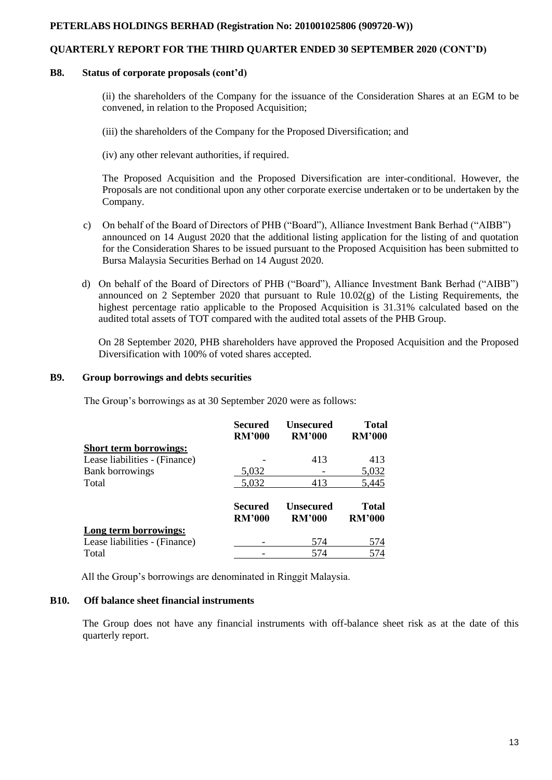### **QUARTERLY REPORT FOR THE THIRD QUARTER ENDED 30 SEPTEMBER 2020 (CONT'D)**

#### **B8. Status of corporate proposals (cont'd)**

(ii) the shareholders of the Company for the issuance of the Consideration Shares at an EGM to be convened, in relation to the Proposed Acquisition;

(iii) the shareholders of the Company for the Proposed Diversification; and

(iv) any other relevant authorities, if required.

The Proposed Acquisition and the Proposed Diversification are inter-conditional. However, the Proposals are not conditional upon any other corporate exercise undertaken or to be undertaken by the Company.

- c) On behalf of the Board of Directors of PHB ("Board"), Alliance Investment Bank Berhad ("AIBB") announced on 14 August 2020 that the additional listing application for the listing of and quotation for the Consideration Shares to be issued pursuant to the Proposed Acquisition has been submitted to Bursa Malaysia Securities Berhad on 14 August 2020.
- d) On behalf of the Board of Directors of PHB ("Board"), Alliance Investment Bank Berhad ("AIBB") announced on 2 September 2020 that pursuant to Rule 10.02(g) of the Listing Requirements, the highest percentage ratio applicable to the Proposed Acquisition is 31.31% calculated based on the audited total assets of TOT compared with the audited total assets of the PHB Group.

On 28 September 2020, PHB shareholders have approved the Proposed Acquisition and the Proposed Diversification with 100% of voted shares accepted.

### **B9. Group borrowings and debts securities**

The Group's borrowings as at 30 September 2020 were as follows:

|                               | <b>Secured</b><br><b>RM'000</b> | Unsecured<br><b>RM'000</b>        | <b>Total</b><br><b>RM'000</b> |
|-------------------------------|---------------------------------|-----------------------------------|-------------------------------|
| <b>Short term borrowings:</b> |                                 |                                   |                               |
| Lease liabilities - (Finance) |                                 | 413                               | 413                           |
| <b>Bank borrowings</b>        | 5,032                           |                                   | 5,032                         |
| Total                         | 5,032                           | 413                               | 5,445                         |
|                               | Secured<br><b>RM'000</b>        | <b>Unsecured</b><br><b>RM'000</b> | <b>Total</b><br><b>RM'000</b> |
| Long term borrowings:         |                                 |                                   |                               |
| Lease liabilities - (Finance) |                                 | 574                               | 574                           |
| Total                         |                                 | 574                               | 574                           |

All the Group's borrowings are denominated in Ringgit Malaysia.

### **B10. Off balance sheet financial instruments**

The Group does not have any financial instruments with off-balance sheet risk as at the date of this quarterly report.